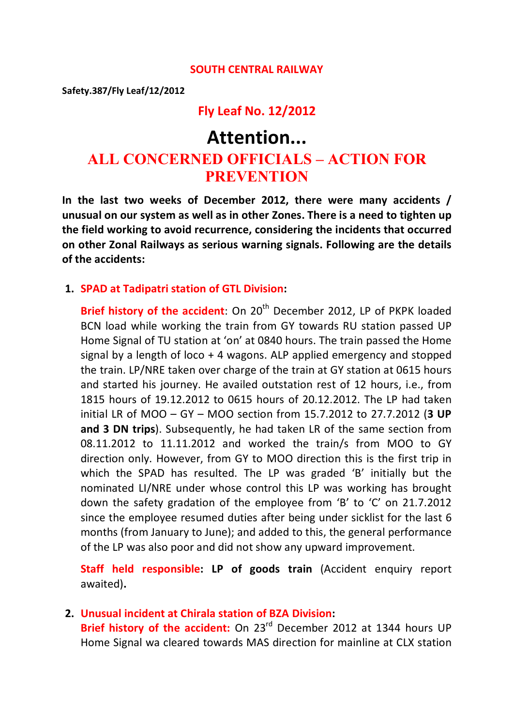#### **SOUTH CENTRAL RAILWAY**

**Safety.387/Fly Leaf/12/2012**

#### **Fly Leaf No. 12/2012**

# **Attention... ALL CONCERNED OFFICIALS – ACTION FOR PREVENTION**

**In the last two weeks of December 2012, there were many accidents / unusual on our system as well as in other Zones. There is a need to tighten up the field working to avoid recurrence, considering the incidents that occurred on other Zonal Railways as serious warning signals. Following are the details of the accidents:**

#### **1. SPAD at Tadipatri station of GTL Division:**

**Brief history of the accident:** On 20<sup>th</sup> December 2012, LP of PKPK loaded BCN load while working the train from GY towards RU station passed UP Home Signal of TU station at 'on' at 0840 hours. The train passed the Home signal by a length of loco + 4 wagons. ALP applied emergency and stopped the train. LP/NRE taken over charge of the train at GY station at 0615 hours and started his journey. He availed outstation rest of 12 hours, i.e., from 1815 hours of 19.12.2012 to 0615 hours of 20.12.2012. The LP had taken initial LR of MOO – GY – MOO section from 15.7.2012 to 27.7.2012 (**3 UP and 3 DN trips**). Subsequently, he had taken LR of the same section from 08.11.2012 to 11.11.2012 and worked the train/s from MOO to GY direction only. However, from GY to MOO direction this is the first trip in which the SPAD has resulted. The LP was graded 'B' initially but the nominated LI/NRE under whose control this LP was working has brought down the safety gradation of the employee from 'B' to 'C' on 21.7.2012 since the employee resumed duties after being under sicklist for the last 6 months (from January to June); and added to this, the general performance of the LP was also poor and did not show any upward improvement.

**Staff held responsible: LP of goods train** (Accident enquiry report awaited)**.**

#### **2. Unusual incident at Chirala station of BZA Division:**

**Brief history of the accident:** On 23<sup>rd</sup> December 2012 at 1344 hours UP Home Signal wa cleared towards MAS direction for mainline at CLX station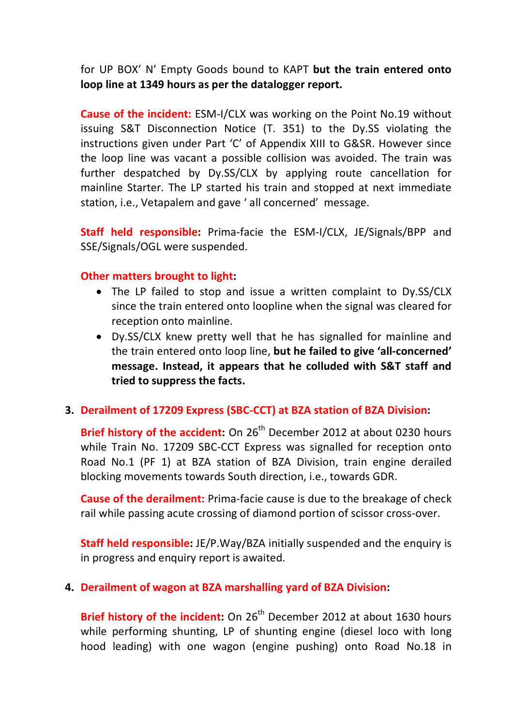for UP BOX' N' Empty Goods bound to KAPT **but the train entered onto loop line at 1349 hours as per the datalogger report.**

**Cause of the incident:** ESM-I/CLX was working on the Point No.19 without issuing S&T Disconnection Notice (T. 351) to the Dy.SS violating the instructions given under Part 'C' of Appendix XIII to G&SR. However since the loop line was vacant a possible collision was avoided. The train was further despatched by Dy.SS/CLX by applying route cancellation for mainline Starter. The LP started his train and stopped at next immediate station, i.e., Vetapalem and gave ' all concerned' message.

**Staff held responsible:** Prima-facie the ESM-I/CLX, JE/Signals/BPP and SSE/Signals/OGL were suspended.

#### **Other matters brought to light:**

- The LP failed to stop and issue a written complaint to Dy.SS/CLX since the train entered onto loopline when the signal was cleared for reception onto mainline.
- · Dy.SS/CLX knew pretty well that he has signalled for mainline and the train entered onto loop line, **but he failed to give 'all-concerned' message. Instead, it appears that he colluded with S&T staff and tried to suppress the facts.**

### **3. Derailment of 17209 Express (SBC-CCT) at BZA station of BZA Division:**

**Brief history of the accident:** On 26<sup>th</sup> December 2012 at about 0230 hours while Train No. 17209 SBC-CCT Express was signalled for reception onto Road No.1 (PF 1) at BZA station of BZA Division, train engine derailed blocking movements towards South direction, i.e., towards GDR.

**Cause of the derailment:** Prima-facie cause is due to the breakage of check rail while passing acute crossing of diamond portion of scissor cross-over.

**Staff held responsible:** JE/P.Way/BZA initially suspended and the enquiry is in progress and enquiry report is awaited.

### **4. Derailment of wagon at BZA marshalling yard of BZA Division:**

**Brief history of the incident:** On 26<sup>th</sup> December 2012 at about 1630 hours while performing shunting, LP of shunting engine (diesel loco with long hood leading) with one wagon (engine pushing) onto Road No.18 in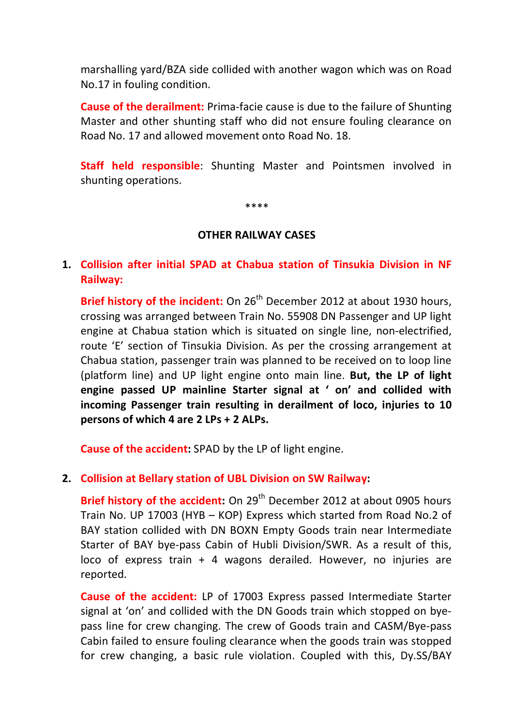marshalling yard/BZA side collided with another wagon which was on Road No.17 in fouling condition.

**Cause of the derailment:** Prima-facie cause is due to the failure of Shunting Master and other shunting staff who did not ensure fouling clearance on Road No. 17 and allowed movement onto Road No. 18.

**Staff held responsible**: Shunting Master and Pointsmen involved in shunting operations.

\*\*\*\*

#### **OTHER RAILWAY CASES**

**1. Collision after initial SPAD at Chabua station of Tinsukia Division in NF Railway:**

**Brief history of the incident:** On 26<sup>th</sup> December 2012 at about 1930 hours, crossing was arranged between Train No. 55908 DN Passenger and UP light engine at Chabua station which is situated on single line, non-electrified, route 'E' section of Tinsukia Division. As per the crossing arrangement at Chabua station, passenger train was planned to be received on to loop line (platform line) and UP light engine onto main line. **But, the LP of light engine passed UP mainline Starter signal at ' on' and collided with incoming Passenger train resulting in derailment of loco, injuries to 10 persons of which 4 are 2 LPs + 2 ALPs.**

**Cause of the accident:** SPAD by the LP of light engine.

### **2. Collision at Bellary station of UBL Division on SW Railway:**

**Brief history of the accident:** On 29<sup>th</sup> December 2012 at about 0905 hours Train No. UP 17003 (HYB – KOP) Express which started from Road No.2 of BAY station collided with DN BOXN Empty Goods train near Intermediate Starter of BAY bye-pass Cabin of Hubli Division/SWR. As a result of this, loco of express train + 4 wagons derailed. However, no injuries are reported.

**Cause of the accident:** LP of 17003 Express passed Intermediate Starter signal at 'on' and collided with the DN Goods train which stopped on byepass line for crew changing. The crew of Goods train and CASM/Bye-pass Cabin failed to ensure fouling clearance when the goods train was stopped for crew changing, a basic rule violation. Coupled with this, Dy.SS/BAY